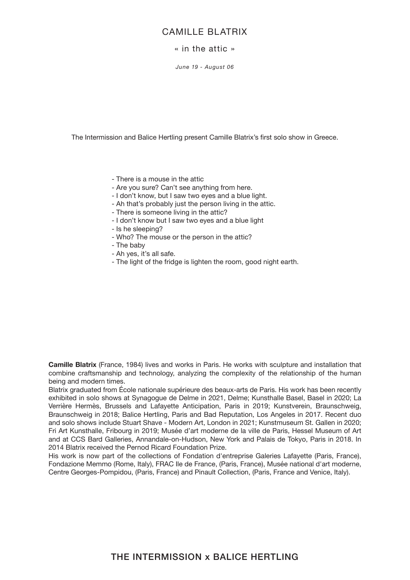## CAMILLE BLATRIX

## « in the attic »

*June 19 - August 06*

The Intermission and Balice Hertling present Camille Blatrix's first solo show in Greece.

- There is a mouse in the attic
- Are you sure? Can't see anything from here.
- I don't know, but I saw two eyes and a blue light.
- Ah that's probably just the person living in the attic.
- There is someone living in the attic?
- I don't know but I saw two eyes and a blue light
- Is he sleeping?
- Who? The mouse or the person in the attic?
- The baby
- Ah yes, it's all safe.
- The light of the fridge is lighten the room, good night earth.

**Camille Blatrix** (France, 1984) lives and works in Paris. He works with sculpture and installation that combine craftsmanship and technology, analyzing the complexity of the relationship of the human being and modern times.

Blatrix graduated from École nationale supérieure des beaux-arts de Paris. His work has been recently exhibited in solo shows at Synagogue de Delme in 2021, Delme; Kunsthalle Basel, Basel in 2020; La Verrière Hermès, Brussels and Lafayette Anticipation, Paris in 2019; Kunstverein, Braunschweig, Braunschweig in 2018; Balice Hertling, Paris and Bad Reputation, Los Angeles in 2017. Recent duo and solo shows include Stuart Shave - Modern Art, London in 2021; Kunstmuseum St. Gallen in 2020; Fri Art Kunsthalle, Fribourg in 2019; Musée d'art moderne de la ville de Paris, Hessel Museum of Art and at CCS Bard Galleries, Annandale-on-Hudson, New York and Palais de Tokyo, Paris in 2018. In 2014 Blatrix received the Pernod Ricard Foundation Prize.

His work is now part of the collections of Fondation d'entreprise Galeries Lafayette (Paris, France), Fondazione Memmo (Rome, Italy), FRAC Ile de France, (Paris, France), Musée national d'art moderne, Centre Georges-Pompidou, (Paris, France) and Pinault Collection, (Paris, France and Venice, Italy).